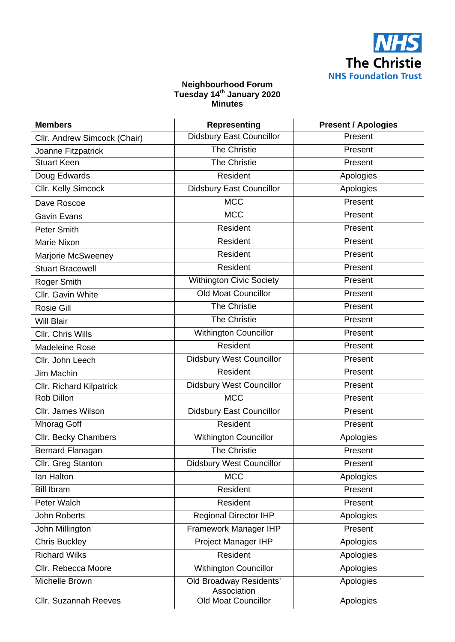

## **Neighbourhood Forum Tuesday 14th January 2020 Minutes**

| <b>Members</b>                  | <b>Representing</b>                    | <b>Present / Apologies</b> |
|---------------------------------|----------------------------------------|----------------------------|
| Cllr. Andrew Simcock (Chair)    | <b>Didsbury East Councillor</b>        | Present                    |
| Joanne Fitzpatrick              | The Christie                           | Present                    |
| <b>Stuart Keen</b>              | The Christie                           | Present                    |
| Doug Edwards                    | Resident                               | Apologies                  |
| Cllr. Kelly Simcock             | <b>Didsbury East Councillor</b>        | Apologies                  |
| Dave Roscoe                     | <b>MCC</b>                             | Present                    |
| Gavin Evans                     | <b>MCC</b>                             | Present                    |
| Peter Smith                     | Resident                               | Present                    |
| <b>Marie Nixon</b>              | Resident                               | Present                    |
| Marjorie McSweeney              | Resident                               | Present                    |
| <b>Stuart Bracewell</b>         | Resident                               | Present                    |
| Roger Smith                     | <b>Withington Civic Society</b>        | Present                    |
| Cllr. Gavin White               | <b>Old Moat Councillor</b>             | Present                    |
| <b>Rosie Gill</b>               | <b>The Christie</b>                    | Present                    |
| <b>Will Blair</b>               | <b>The Christie</b>                    | Present                    |
| Cllr. Chris Wills               | <b>Withington Councillor</b>           | Present                    |
| <b>Madeleine Rose</b>           | Resident                               | Present                    |
| Cllr. John Leech                | <b>Didsbury West Councillor</b>        | Present                    |
| Jim Machin                      | Resident                               | Present                    |
| <b>Cllr. Richard Kilpatrick</b> | Didsbury West Councillor               | Present                    |
| Rob Dillon                      | <b>MCC</b>                             | Present                    |
| Cllr. James Wilson              | <b>Didsbury East Councillor</b>        | Present                    |
| <b>Mhorag Goff</b>              | Resident                               | Present                    |
| Cllr. Becky Chambers            | Withington Councillor                  | Apologies                  |
| <b>Bernard Flanagan</b>         | The Christie                           | Present                    |
| Cllr. Greg Stanton              | <b>Didsbury West Councillor</b>        | Present                    |
| lan Halton                      | <b>MCC</b>                             | Apologies                  |
| <b>Bill Ibram</b>               | Resident                               | Present                    |
| Peter Walch                     | Resident                               | Present                    |
| <b>John Roberts</b>             | <b>Regional Director IHP</b>           | Apologies                  |
| John Millington                 | Framework Manager IHP                  | Present                    |
| <b>Chris Buckley</b>            | <b>Project Manager IHP</b>             | Apologies                  |
| <b>Richard Wilks</b>            | Resident                               | Apologies                  |
| Cllr. Rebecca Moore             | <b>Withington Councillor</b>           | Apologies                  |
| Michelle Brown                  | Old Broadway Residents'<br>Association | Apologies                  |
| <b>Cllr. Suzannah Reeves</b>    | <b>Old Moat Councillor</b>             | Apologies                  |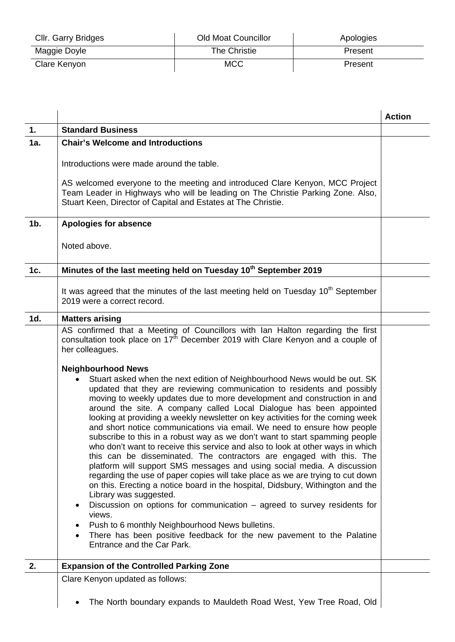| Cllr. Garry Bridges | <b>Old Moat Councillor</b> | Apologies |
|---------------------|----------------------------|-----------|
| Maggie Doyle        | The Christie               | Present   |
| Clare Kenyon        | <b>MCC</b>                 | Present   |

|        |                                                                                                                                                                                                                                                                                                                                                                                                                                                                                                                                                                                                                                                                                                                                                                                                                                                                                                                                                                                                                                                                                                                                                                                                                                                                                    | <b>Action</b> |
|--------|------------------------------------------------------------------------------------------------------------------------------------------------------------------------------------------------------------------------------------------------------------------------------------------------------------------------------------------------------------------------------------------------------------------------------------------------------------------------------------------------------------------------------------------------------------------------------------------------------------------------------------------------------------------------------------------------------------------------------------------------------------------------------------------------------------------------------------------------------------------------------------------------------------------------------------------------------------------------------------------------------------------------------------------------------------------------------------------------------------------------------------------------------------------------------------------------------------------------------------------------------------------------------------|---------------|
| 1.     | <b>Standard Business</b>                                                                                                                                                                                                                                                                                                                                                                                                                                                                                                                                                                                                                                                                                                                                                                                                                                                                                                                                                                                                                                                                                                                                                                                                                                                           |               |
| 1a.    | <b>Chair's Welcome and Introductions</b>                                                                                                                                                                                                                                                                                                                                                                                                                                                                                                                                                                                                                                                                                                                                                                                                                                                                                                                                                                                                                                                                                                                                                                                                                                           |               |
|        | Introductions were made around the table.                                                                                                                                                                                                                                                                                                                                                                                                                                                                                                                                                                                                                                                                                                                                                                                                                                                                                                                                                                                                                                                                                                                                                                                                                                          |               |
|        | AS welcomed everyone to the meeting and introduced Clare Kenyon, MCC Project<br>Team Leader in Highways who will be leading on The Christie Parking Zone. Also,<br>Stuart Keen, Director of Capital and Estates at The Christie.                                                                                                                                                                                                                                                                                                                                                                                                                                                                                                                                                                                                                                                                                                                                                                                                                                                                                                                                                                                                                                                   |               |
| $1b$ . | <b>Apologies for absence</b>                                                                                                                                                                                                                                                                                                                                                                                                                                                                                                                                                                                                                                                                                                                                                                                                                                                                                                                                                                                                                                                                                                                                                                                                                                                       |               |
|        | Noted above.                                                                                                                                                                                                                                                                                                                                                                                                                                                                                                                                                                                                                                                                                                                                                                                                                                                                                                                                                                                                                                                                                                                                                                                                                                                                       |               |
| 1c.    | Minutes of the last meeting held on Tuesday 10 <sup>th</sup> September 2019                                                                                                                                                                                                                                                                                                                                                                                                                                                                                                                                                                                                                                                                                                                                                                                                                                                                                                                                                                                                                                                                                                                                                                                                        |               |
|        | It was agreed that the minutes of the last meeting held on Tuesday 10 <sup>th</sup> September<br>2019 were a correct record.                                                                                                                                                                                                                                                                                                                                                                                                                                                                                                                                                                                                                                                                                                                                                                                                                                                                                                                                                                                                                                                                                                                                                       |               |
| 1d.    | <b>Matters arising</b>                                                                                                                                                                                                                                                                                                                                                                                                                                                                                                                                                                                                                                                                                                                                                                                                                                                                                                                                                                                                                                                                                                                                                                                                                                                             |               |
|        | AS confirmed that a Meeting of Councillors with Ian Halton regarding the first<br>consultation took place on 17 <sup>th</sup> December 2019 with Clare Kenyon and a couple of<br>her colleagues.                                                                                                                                                                                                                                                                                                                                                                                                                                                                                                                                                                                                                                                                                                                                                                                                                                                                                                                                                                                                                                                                                   |               |
|        | <b>Neighbourhood News</b><br>Stuart asked when the next edition of Neighbourhood News would be out. SK<br>$\bullet$<br>updated that they are reviewing communication to residents and possibly<br>moving to weekly updates due to more development and construction in and<br>around the site. A company called Local Dialogue has been appointed<br>looking at providing a weekly newsletter on key activities for the coming week<br>and short notice communications via email. We need to ensure how people<br>subscribe to this in a robust way as we don't want to start spamming people<br>who don't want to receive this service and also to look at other ways in which<br>this can be disseminated. The contractors are engaged with this. The<br>platform will support SMS messages and using social media. A discussion<br>regarding the use of paper copies will take place as we are trying to cut down<br>on this. Erecting a notice board in the hospital, Didsbury, Withington and the<br>Library was suggested.<br>Discussion on options for communication $-$ agreed to survey residents for<br>views.<br>Push to 6 monthly Neighbourhood News bulletins.<br>There has been positive feedback for the new pavement to the Palatine<br>Entrance and the Car Park. |               |
| 2.     | <b>Expansion of the Controlled Parking Zone</b>                                                                                                                                                                                                                                                                                                                                                                                                                                                                                                                                                                                                                                                                                                                                                                                                                                                                                                                                                                                                                                                                                                                                                                                                                                    |               |
|        | Clare Kenyon updated as follows:                                                                                                                                                                                                                                                                                                                                                                                                                                                                                                                                                                                                                                                                                                                                                                                                                                                                                                                                                                                                                                                                                                                                                                                                                                                   |               |
|        | The North boundary expands to Mauldeth Road West, Yew Tree Road, Old                                                                                                                                                                                                                                                                                                                                                                                                                                                                                                                                                                                                                                                                                                                                                                                                                                                                                                                                                                                                                                                                                                                                                                                                               |               |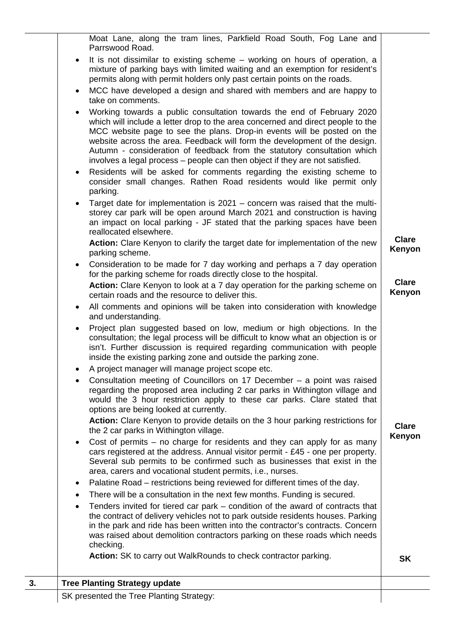|    | Moat Lane, along the tram lines, Parkfield Road South, Fog Lane and<br>Parrswood Road.                                                                                                                                                                                                                                                                                                                                                                                         |                        |
|----|--------------------------------------------------------------------------------------------------------------------------------------------------------------------------------------------------------------------------------------------------------------------------------------------------------------------------------------------------------------------------------------------------------------------------------------------------------------------------------|------------------------|
|    | It is not dissimilar to existing scheme – working on hours of operation, a<br>$\bullet$<br>mixture of parking bays with limited waiting and an exemption for resident's<br>permits along with permit holders only past certain points on the roads.                                                                                                                                                                                                                            |                        |
|    | MCC have developed a design and shared with members and are happy to<br>$\bullet$<br>take on comments.                                                                                                                                                                                                                                                                                                                                                                         |                        |
|    | Working towards a public consultation towards the end of February 2020<br>which will include a letter drop to the area concerned and direct people to the<br>MCC website page to see the plans. Drop-in events will be posted on the<br>website across the area. Feedback will form the development of the design.<br>Autumn - consideration of feedback from the statutory consultation which<br>involves a legal process – people can then object if they are not satisfied. |                        |
|    | Residents will be asked for comments regarding the existing scheme to<br>$\bullet$<br>consider small changes. Rathen Road residents would like permit only<br>parking.                                                                                                                                                                                                                                                                                                         |                        |
|    | Target date for implementation is 2021 – concern was raised that the multi-<br>$\bullet$<br>storey car park will be open around March 2021 and construction is having<br>an impact on local parking - JF stated that the parking spaces have been<br>reallocated elsewhere.                                                                                                                                                                                                    |                        |
|    | Action: Clare Kenyon to clarify the target date for implementation of the new<br>parking scheme.                                                                                                                                                                                                                                                                                                                                                                               | <b>Clare</b><br>Kenyon |
|    | Consideration to be made for 7 day working and perhaps a 7 day operation<br>$\bullet$<br>for the parking scheme for roads directly close to the hospital.<br>Action: Clare Kenyon to look at a 7 day operation for the parking scheme on                                                                                                                                                                                                                                       | <b>Clare</b>           |
|    | certain roads and the resource to deliver this.                                                                                                                                                                                                                                                                                                                                                                                                                                | Kenyon                 |
|    | All comments and opinions will be taken into consideration with knowledge<br>$\bullet$<br>and understanding.                                                                                                                                                                                                                                                                                                                                                                   |                        |
|    | Project plan suggested based on low, medium or high objections. In the<br>consultation; the legal process will be difficult to know what an objection is or<br>isn't. Further discussion is required regarding communication with people<br>inside the existing parking zone and outside the parking zone.                                                                                                                                                                     |                        |
|    | A project manager will manage project scope etc.                                                                                                                                                                                                                                                                                                                                                                                                                               |                        |
|    | Consultation meeting of Councillors on 17 December – a point was raised<br>regarding the proposed area including 2 car parks in Withington village and<br>would the 3 hour restriction apply to these car parks. Clare stated that<br>options are being looked at currently.                                                                                                                                                                                                   |                        |
|    | Action: Clare Kenyon to provide details on the 3 hour parking restrictions for<br>the 2 car parks in Withington village.                                                                                                                                                                                                                                                                                                                                                       | <b>Clare</b><br>Kenyon |
|    | Cost of permits – no charge for residents and they can apply for as many<br>$\bullet$<br>cars registered at the address. Annual visitor permit - £45 - one per property.<br>Several sub permits to be confirmed such as businesses that exist in the<br>area, carers and vocational student permits, i.e., nurses.                                                                                                                                                             |                        |
|    | Palatine Road – restrictions being reviewed for different times of the day.                                                                                                                                                                                                                                                                                                                                                                                                    |                        |
|    | There will be a consultation in the next few months. Funding is secured.                                                                                                                                                                                                                                                                                                                                                                                                       |                        |
|    | Tenders invited for tiered car park – condition of the award of contracts that<br>the contract of delivery vehicles not to park outside residents houses. Parking<br>in the park and ride has been written into the contractor's contracts. Concern<br>was raised about demolition contractors parking on these roads which needs<br>checking.                                                                                                                                 |                        |
|    | Action: SK to carry out WalkRounds to check contractor parking.                                                                                                                                                                                                                                                                                                                                                                                                                | <b>SK</b>              |
| 3. | <b>Tree Planting Strategy update</b>                                                                                                                                                                                                                                                                                                                                                                                                                                           |                        |
|    | SK presented the Tree Planting Strategy:                                                                                                                                                                                                                                                                                                                                                                                                                                       |                        |
|    |                                                                                                                                                                                                                                                                                                                                                                                                                                                                                |                        |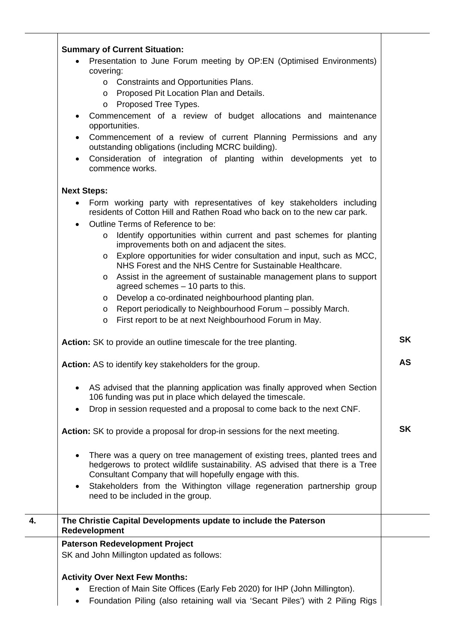|    | <b>Summary of Current Situation:</b>                                                                                                                                                                                   |           |
|----|------------------------------------------------------------------------------------------------------------------------------------------------------------------------------------------------------------------------|-----------|
|    | Presentation to June Forum meeting by OP:EN (Optimised Environments)                                                                                                                                                   |           |
|    | covering:<br>o Constraints and Opportunities Plans.                                                                                                                                                                    |           |
|    | o Proposed Pit Location Plan and Details.                                                                                                                                                                              |           |
|    | Proposed Tree Types.<br>$\circ$                                                                                                                                                                                        |           |
|    | Commencement of a review of budget allocations and maintenance<br>opportunities.                                                                                                                                       |           |
|    | Commencement of a review of current Planning Permissions and any<br>outstanding obligations (including MCRC building).                                                                                                 |           |
|    | Consideration of integration of planting within developments yet to<br>commence works.                                                                                                                                 |           |
|    | <b>Next Steps:</b>                                                                                                                                                                                                     |           |
|    | Form working party with representatives of key stakeholders including<br>$\bullet$<br>residents of Cotton Hill and Rathen Road who back on to the new car park.                                                        |           |
|    | Outline Terms of Reference to be:                                                                                                                                                                                      |           |
|    | Identify opportunities within current and past schemes for planting<br>$\circ$<br>improvements both on and adjacent the sites.                                                                                         |           |
|    | Explore opportunities for wider consultation and input, such as MCC,<br>$\circ$<br>NHS Forest and the NHS Centre for Sustainable Healthcare.                                                                           |           |
|    | o Assist in the agreement of sustainable management plans to support<br>agreed schemes - 10 parts to this.                                                                                                             |           |
|    | Develop a co-ordinated neighbourhood planting plan.<br>$\circ$                                                                                                                                                         |           |
|    | Report periodically to Neighbourhood Forum – possibly March.<br>$\circ$<br>First report to be at next Neighbourhood Forum in May.<br>O                                                                                 |           |
|    |                                                                                                                                                                                                                        |           |
|    | Action: SK to provide an outline timescale for the tree planting.                                                                                                                                                      | <b>SK</b> |
|    | Action: AS to identify key stakeholders for the group.                                                                                                                                                                 | <b>AS</b> |
|    | AS advised that the planning application was finally approved when Section<br>106 funding was put in place which delayed the timescale.                                                                                |           |
|    | Drop in session requested and a proposal to come back to the next CNF.                                                                                                                                                 |           |
|    | Action: SK to provide a proposal for drop-in sessions for the next meeting.                                                                                                                                            | <b>SK</b> |
|    | There was a query on tree management of existing trees, planted trees and<br>hedgerows to protect wildlife sustainability. AS advised that there is a Tree<br>Consultant Company that will hopefully engage with this. |           |
|    | Stakeholders from the Withington village regeneration partnership group<br>$\bullet$<br>need to be included in the group.                                                                                              |           |
| 4. | The Christie Capital Developments update to include the Paterson<br>Redevelopment                                                                                                                                      |           |
|    | <b>Paterson Redevelopment Project</b>                                                                                                                                                                                  |           |
|    | SK and John Millington updated as follows:                                                                                                                                                                             |           |
|    | <b>Activity Over Next Few Months:</b>                                                                                                                                                                                  |           |
|    | Erection of Main Site Offices (Early Feb 2020) for IHP (John Millington).                                                                                                                                              |           |
|    | Foundation Piling (also retaining wall via 'Secant Piles') with 2 Piling Rigs                                                                                                                                          |           |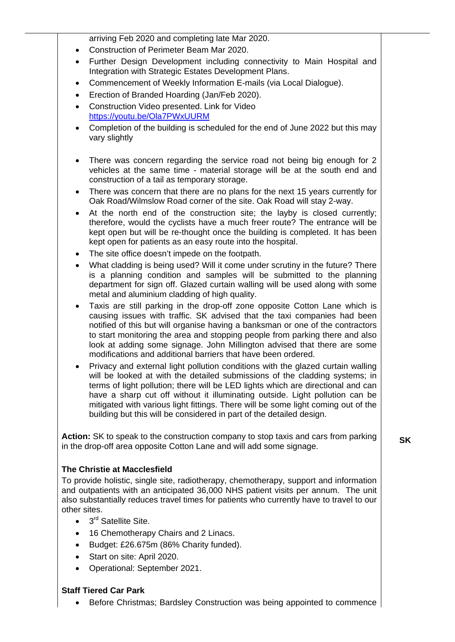arriving Feb 2020 and completing late Mar 2020.

- Construction of Perimeter Beam Mar 2020.
- Further Design Development including connectivity to Main Hospital and Integration with Strategic Estates Development Plans.
- Commencement of Weekly Information E-mails (via Local Dialogue).
- Erection of Branded Hoarding (Jan/Feb 2020).
- Construction Video presented. Link for Video <https://youtu.be/Ola7PWxUURM>
- Completion of the building is scheduled for the end of June 2022 but this may vary slightly
- There was concern regarding the service road not being big enough for 2 vehicles at the same time - material storage will be at the south end and construction of a tail as temporary storage.
- There was concern that there are no plans for the next 15 years currently for Oak Road/Wilmslow Road corner of the site. Oak Road will stay 2-way.
- At the north end of the construction site; the layby is closed currently; therefore, would the cyclists have a much freer route? The entrance will be kept open but will be re-thought once the building is completed. It has been kept open for patients as an easy route into the hospital.
- The site office doesn't impede on the footpath.
- What cladding is being used? Will it come under scrutiny in the future? There is a planning condition and samples will be submitted to the planning department for sign off. Glazed curtain walling will be used along with some metal and aluminium cladding of high quality.
- Taxis are still parking in the drop-off zone opposite Cotton Lane which is causing issues with traffic. SK advised that the taxi companies had been notified of this but will organise having a banksman or one of the contractors to start monitoring the area and stopping people from parking there and also look at adding some signage. John Millington advised that there are some modifications and additional barriers that have been ordered.
- Privacy and external light pollution conditions with the glazed curtain walling will be looked at with the detailed submissions of the cladding systems; in terms of light pollution; there will be LED lights which are directional and can have a sharp cut off without it illuminating outside. Light pollution can be mitigated with various light fittings. There will be some light coming out of the building but this will be considered in part of the detailed design.

**Action:** SK to speak to the construction company to stop taxis and cars from parking in the drop-off area opposite Cotton Lane and will add some signage.

## **The Christie at Macclesfield**

To provide holistic, single site, radiotherapy, chemotherapy, support and information and outpatients with an anticipated 36,000 NHS patient visits per annum. The unit also substantially reduces travel times for patients who currently have to travel to our other sites.

- $\bullet$  3<sup>rd</sup> Satellite Site.
- 16 Chemotherapy Chairs and 2 Linacs.
- Budget: £26.675m (86% Charity funded).
- Start on site: April 2020.
- Operational: September 2021.

## **Staff Tiered Car Park**

• Before Christmas; Bardsley Construction was being appointed to commence

**SK**